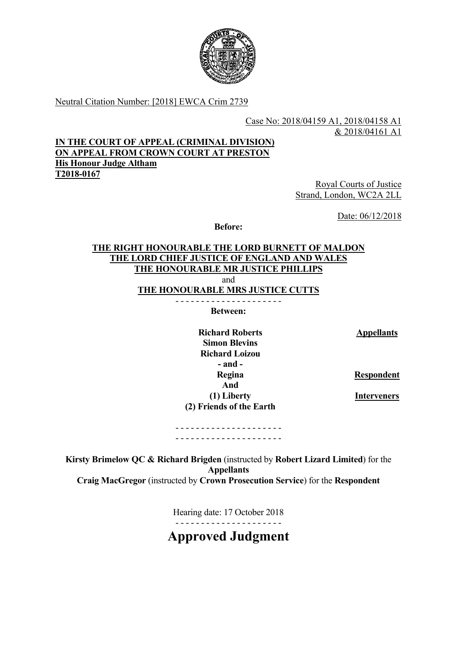

Neutral Citation Number: [2018] EWCA Crim 2739

## Case No: 2018/04159 A1, 2018/04158 A1 & 2018/04161 A1

## **IN THE COURT OF APPEAL (CRIMINAL DIVISION) ON APPEAL FROM CROWN COURT AT PRESTON His Honour Judge Altham T2018-0167**

Royal Courts of Justice Strand, London, WC2A 2LL

Date: 06/12/2018

**Before:**

- - - - - - - - - - - - - - - - - - - - - **THE RIGHT HONOURABLE THE LORD BURNETT OF MALDON THE LORD CHIEF JUSTICE OF ENGLAND AND WALES THE HONOURABLE MR JUSTICE PHILLIPS**  and **THE HONOURABLE MRS JUSTICE CUTTS** 

**Between:** 

And **Richard Roberts Appellants Simon Blevins Richard Loizou - and - And (1) Liberty Interveners (2) Friends of the Earth** 

Regina Respondent

- - - - - - - - - - - - - - - - - - - - - - - - - - - - - - - - - - - - - - - - - -

**Kirsty Brimelow QC & Richard Brigden** (instructed by **Robert Lizard Limited**) for the **Appellants Craig MacGregor** (instructed by **Crown Prosecution Service**) for the **Respondent**

> - - - - - - - - - - - - - - - - - - - - - Hearing date: 17 October 2018

**Approved Judgment**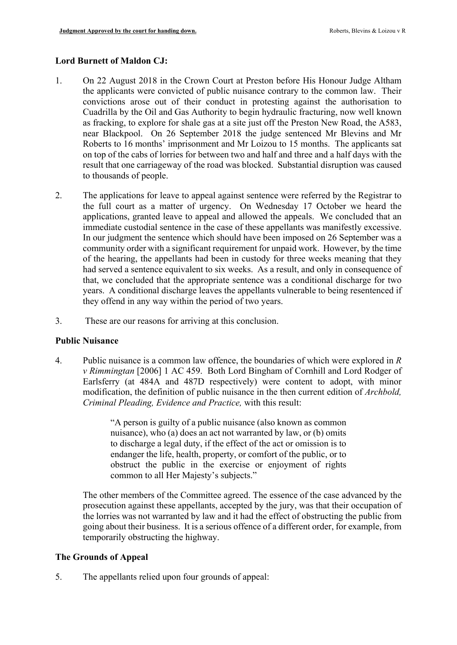# **Lord Burnett of Maldon CJ:**

- 1. On 22 August 2018 in the Crown Court at Preston before His Honour Judge Altham the applicants were convicted of public nuisance contrary to the common law. Their convictions arose out of their conduct in protesting against the authorisation to Cuadrilla by the Oil and Gas Authority to begin hydraulic fracturing, now well known as fracking, to explore for shale gas at a site just off the Preston New Road, the A583, near Blackpool. On 26 September 2018 the judge sentenced Mr Blevins and Mr Roberts to 16 months' imprisonment and Mr Loizou to 15 months. The applicants sat on top of the cabs of lorries for between two and half and three and a half days with the result that one carriageway of the road was blocked. Substantial disruption was caused to thousands of people.
- the full court as a matter of urgency. On Wednesday 17 October we heard the community order with a significant requirement for unpaid work. However, by the time years. A conditional discharge leaves the appellants vulnerable to being resentenced if 2. The applications for leave to appeal against sentence were referred by the Registrar to applications, granted leave to appeal and allowed the appeals. We concluded that an immediate custodial sentence in the case of these appellants was manifestly excessive. In our judgment the sentence which should have been imposed on 26 September was a of the hearing, the appellants had been in custody for three weeks meaning that they had served a sentence equivalent to six weeks. As a result, and only in consequence of that, we concluded that the appropriate sentence was a conditional discharge for two they offend in any way within the period of two years.
- 3. These are our reasons for arriving at this conclusion.

## **Public Nuisance**

4. Public nuisance is a common law offence, the boundaries of which were explored in *R v Rimmingtan* [2006] 1 AC 459. Both Lord Bingham of Cornhill and Lord Rodger of Earlsferry (at 484A and 487D respectively) were content to adopt, with minor modification, the definition of public nuisance in the then current edition of *Archbold, Criminal Pleading, Evidence and Practice,* with this result:

> to discharge a legal duty, if the effect of the act or omission is to "A person is guilty of a public nuisance (also known as common nuisance), who (a) does an act not warranted by law, or (b) omits endanger the life, health, property, or comfort of the public, or to obstruct the public in the exercise or enjoyment of rights common to all Her Majesty's subjects."

 The other members of the Committee agreed. The essence of the case advanced by the going about their business. It is a serious offence of a different order, for example, from prosecution against these appellants, accepted by the jury, was that their occupation of the lorries was not warranted by law and it had the effect of obstructing the public from temporarily obstructing the highway.

# **The Grounds of Appeal**

5. The appellants relied upon four grounds of appeal: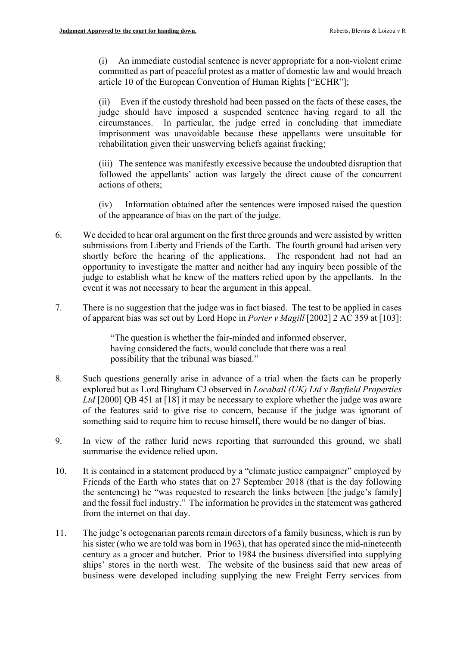$(i)$ An immediate custodial sentence is never appropriate for a non-violent crime committed as part of peaceful protest as a matter of domestic law and would breach article 10 of the European Convention of Human Rights ["ECHR"];

 (ii) Even if the custody threshold had been passed on the facts of these cases, the judge should have imposed a suspended sentence having regard to all the circumstances. In particular, the judge erred in concluding that immediate imprisonment was unavoidable because these appellants were unsuitable for rehabilitation given their unswerving beliefs against fracking;

 (iii) The sentence was manifestly excessive because the undoubted disruption that followed the appellants' action was largely the direct cause of the concurrent actions of others;

 (iv) Information obtained after the sentences were imposed raised the question of the appearance of bias on the part of the judge.

- judge to establish what he knew of the matters relied upon by the appellants. In the event it was not necessary to hear the argument in this appeal. 6. We decided to hear oral argument on the first three grounds and were assisted by written submissions from Liberty and Friends of the Earth. The fourth ground had arisen very shortly before the hearing of the applications. The respondent had not had an opportunity to investigate the matter and neither had any inquiry been possible of the
- 7. There is no suggestion that the judge was in fact biased. The test to be applied in cases of apparent bias was set out by Lord Hope in *Porter v Magill* [2002] 2 AC 359 at [103]:

"The question is whether the fair-minded and informed observer, having considered the facts, would conclude that there was a real possibility that the tribunal was biased."

- 8. Such questions generally arise in advance of a trial when the facts can be properly of the features said to give rise to concern, because if the judge was ignorant of explored but as Lord Bingham CJ observed in *Locabail (UK) Ltd v Bayfield Properties*  Ltd <sup>[2000]</sup> QB 451 at <sup>[18]</sup> it may be necessary to explore whether the judge was aware something said to require him to recuse himself, there would be no danger of bias.
- 9. In view of the rather lurid news reporting that surrounded this ground, we shall summarise the evidence relied upon.
- 10. It is contained in a statement produced by a "climate justice campaigner" employed by Friends of the Earth who states that on 27 September 2018 (that is the day following the sentencing) he "was requested to research the links between [the judge's family] and the fossil fuel industry." The information he provides in the statement was gathered from the internet on that day.
- ships' stores in the north west. The website of the business said that new areas of 11. The judge's octogenarian parents remain directors of a family business, which is run by his sister (who we are told was born in 1963), that has operated since the mid-nineteenth century as a grocer and butcher. Prior to 1984 the business diversified into supplying business were developed including supplying the new Freight Ferry services from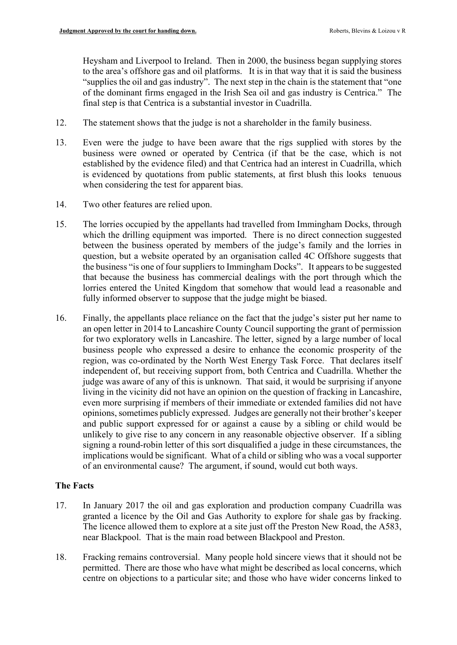to the area's offshore gas and oil platforms. It is in that way that it is said the business Heysham and Liverpool to Ireland. Then in 2000, the business began supplying stores "supplies the oil and gas industry". The next step in the chain is the statement that "one of the dominant firms engaged in the Irish Sea oil and gas industry is Centrica." The final step is that Centrica is a substantial investor in Cuadrilla.

- 12. The statement shows that the judge is not a shareholder in the family business.
- established by the evidence filed) and that Centrica had an interest in Cuadrilla, which 13. Even were the judge to have been aware that the rigs supplied with stores by the business were owned or operated by Centrica (if that be the case, which is not is evidenced by quotations from public statements, at first blush this looks tenuous when considering the test for apparent bias.
- 14. Two other features are relied upon.
- which the drilling equipment was imported. There is no direct connection suggested the business "is one of four suppliers to Immingham Docks". It appears to be suggested lorries entered the United Kingdom that somehow that would lead a reasonable and 15. The lorries occupied by the appellants had travelled from Immingham Docks, through between the business operated by members of the judge's family and the lorries in question, but a website operated by an organisation called 4C Offshore suggests that that because the business has commercial dealings with the port through which the fully informed observer to suppose that the judge might be biased.
- 16. Finally, the appellants place reliance on the fact that the judge's sister put her name to unlikely to give rise to any concern in any reasonable objective observer. If a sibling an open letter in 2014 to Lancashire County Council supporting the grant of permission for two exploratory wells in Lancashire. The letter, signed by a large number of local business people who expressed a desire to enhance the economic prosperity of the region, was co-ordinated by the North West Energy Task Force. That declares itself independent of, but receiving support from, both Centrica and Cuadrilla. Whether the judge was aware of any of this is unknown. That said, it would be surprising if anyone living in the vicinity did not have an opinion on the question of fracking in Lancashire, even more surprising if members of their immediate or extended families did not have opinions, sometimes publicly expressed. Judges are generally not their brother's keeper and public support expressed for or against a cause by a sibling or child would be signing a round-robin letter of this sort disqualified a judge in these circumstances, the implications would be significant. What of a child or sibling who was a vocal supporter of an environmental cause? The argument, if sound, would cut both ways.

## **The Facts**

- granted a licence by the Oil and Gas Authority to explore for shale gas by fracking. 17. In January 2017 the oil and gas exploration and production company Cuadrilla was The licence allowed them to explore at a site just off the Preston New Road, the A583, near Blackpool. That is the main road between Blackpool and Preston.
- 18. Fracking remains controversial. Many people hold sincere views that it should not be permitted. There are those who have what might be described as local concerns, which centre on objections to a particular site; and those who have wider concerns linked to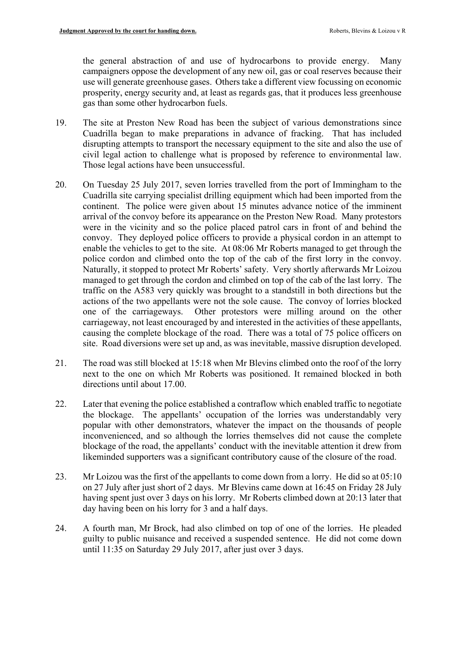prosperity, energy security and, at least as regards gas, that it produces less greenhouse the general abstraction of and use of hydrocarbons to provide energy. Many campaigners oppose the development of any new oil, gas or coal reserves because their use will generate greenhouse gases. Others take a different view focussing on economic gas than some other hydrocarbon fuels.

- 19. The site at Preston New Road has been the subject of various demonstrations since Cuadrilla began to make preparations in advance of fracking. That has included disrupting attempts to transport the necessary equipment to the site and also the use of civil legal action to challenge what is proposed by reference to environmental law. Those legal actions have been unsuccessful.
- managed to get through the cordon and climbed on top of the cab of the last lorry. The actions of the two appellants were not the sole cause. The convoy of lorries blocked one of the carriageways. Other protestors were milling around on the other carriageway, not least encouraged by and interested in the activities of these appellants, causing the complete blockage of the road. There was a total of 75 police officers on 20. On Tuesday 25 July 2017, seven lorries travelled from the port of Immingham to the Cuadrilla site carrying specialist drilling equipment which had been imported from the continent. The police were given about 15 minutes advance notice of the imminent arrival of the convoy before its appearance on the Preston New Road. Many protestors were in the vicinity and so the police placed patrol cars in front of and behind the convoy. They deployed police officers to provide a physical cordon in an attempt to enable the vehicles to get to the site. At 08:06 Mr Roberts managed to get through the police cordon and climbed onto the top of the cab of the first lorry in the convoy. Naturally, it stopped to protect Mr Roberts' safety. Very shortly afterwards Mr Loizou traffic on the A583 very quickly was brought to a standstill in both directions but the site. Road diversions were set up and, as was inevitable, massive disruption developed.
- 21. The road was still blocked at 15:18 when Mr Blevins climbed onto the roof of the lorry next to the one on which Mr Roberts was positioned. It remained blocked in both directions until about 17.00.
- 22. Later that evening the police established a contraflow which enabled traffic to negotiate the blockage. The appellants' occupation of the lorries was understandably very popular with other demonstrators, whatever the impact on the thousands of people inconvenienced, and so although the lorries themselves did not cause the complete blockage of the road, the appellants' conduct with the inevitable attention it drew from likeminded supporters was a significant contributory cause of the closure of the road.
- 23. Mr Loizou was the first of the appellants to come down from a lorry. He did so at 05:10 on 27 July after just short of 2 days. Mr Blevins came down at 16:45 on Friday 28 July having spent just over 3 days on his lorry. Mr Roberts climbed down at 20:13 later that day having been on his lorry for 3 and a half days.
- 24. A fourth man, Mr Brock, had also climbed on top of one of the lorries. He pleaded guilty to public nuisance and received a suspended sentence. He did not come down until 11:35 on Saturday 29 July 2017, after just over 3 days.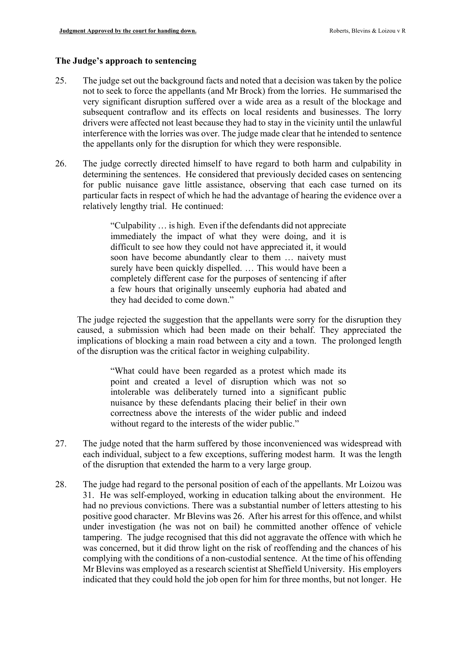## **The Judge's approach to sentencing**

- not to seek to force the appellants (and Mr Brock) from the lorries. He summarised the 25. The judge set out the background facts and noted that a decision was taken by the police very significant disruption suffered over a wide area as a result of the blockage and subsequent contraflow and its effects on local residents and businesses. The lorry drivers were affected not least because they had to stay in the vicinity until the unlawful interference with the lorries was over. The judge made clear that he intended to sentence the appellants only for the disruption for which they were responsible.
- 26. The judge correctly directed himself to have regard to both harm and culpability in particular facts in respect of which he had the advantage of hearing the evidence over a determining the sentences. He considered that previously decided cases on sentencing for public nuisance gave little assistance, observing that each case turned on its relatively lengthy trial. He continued:

 "Culpability … is high. Even if the defendants did not appreciate soon have become abundantly clear to them … naivety must immediately the impact of what they were doing, and it is difficult to see how they could not have appreciated it, it would surely have been quickly dispelled. … This would have been a completely different case for the purposes of sentencing if after a few hours that originally unseemly euphoria had abated and they had decided to come down."

 implications of blocking a main road between a city and a town. The prolonged length The judge rejected the suggestion that the appellants were sorry for the disruption they caused, a submission which had been made on their behalf. They appreciated the of the disruption was the critical factor in weighing culpability.

"What could have been regarded as a protest which made its point and created a level of disruption which was not so intolerable was deliberately turned into a significant public nuisance by these defendants placing their belief in their own correctness above the interests of the wider public and indeed without regard to the interests of the wider public."

- of the disruption that extended the harm to a very large group. 27. The judge noted that the harm suffered by those inconvenienced was widespread with each individual, subject to a few exceptions, suffering modest harm. It was the length
- 31. He was self-employed, working in education talking about the environment. He 28. The judge had regard to the personal position of each of the appellants. Mr Loizou was had no previous convictions. There was a substantial number of letters attesting to his positive good character. Mr Blevins was 26. After his arrest for this offence, and whilst under investigation (he was not on bail) he committed another offence of vehicle tampering. The judge recognised that this did not aggravate the offence with which he was concerned, but it did throw light on the risk of reoffending and the chances of his complying with the conditions of a non-custodial sentence. At the time of his offending Mr Blevins was employed as a research scientist at Sheffield University. His employers indicated that they could hold the job open for him for three months, but not longer. He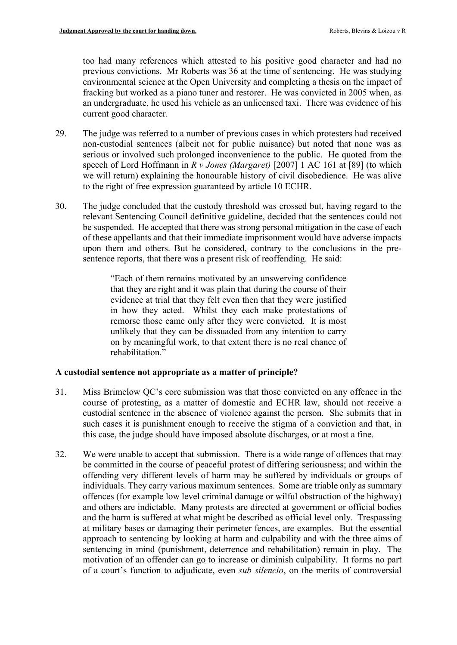too had many references which attested to his positive good character and had no previous convictions. Mr Roberts was 36 at the time of sentencing. He was studying environmental science at the Open University and completing a thesis on the impact of fracking but worked as a piano tuner and restorer. He was convicted in 2005 when, as an undergraduate, he used his vehicle as an unlicensed taxi. There was evidence of his current good character.

- serious or involved such prolonged inconvenience to the public. He quoted from the 29. The judge was referred to a number of previous cases in which protesters had received non-custodial sentences (albeit not for public nuisance) but noted that none was as speech of Lord Hoffmann in *R v Jones (Margaret)* [2007] 1 AC 161 at [89] (to which we will return) explaining the honourable history of civil disobedience. He was alive to the right of free expression guaranteed by article 10 ECHR.
- 30. The judge concluded that the custody threshold was crossed but, having regard to the relevant Sentencing Council definitive guideline, decided that the sentences could not be suspended. He accepted that there was strong personal mitigation in the case of each of these appellants and that their immediate imprisonment would have adverse impacts upon them and others. But he considered, contrary to the conclusions in the presentence reports, that there was a present risk of reoffending. He said:

 that they are right and it was plain that during the course of their "Each of them remains motivated by an unswerving confidence evidence at trial that they felt even then that they were justified in how they acted. Whilst they each make protestations of remorse those came only after they were convicted. It is most unlikely that they can be dissuaded from any intention to carry on by meaningful work, to that extent there is no real chance of rehabilitation."

## **A custodial sentence not appropriate as a matter of principle?**

- custodial sentence in the absence of violence against the person. She submits that in such cases it is punishment enough to receive the stigma of a conviction and that, in 31. Miss Brimelow QC's core submission was that those convicted on any offence in the course of protesting, as a matter of domestic and ECHR law, should not receive a this case, the judge should have imposed absolute discharges, or at most a fine.
- offending very different levels of harm may be suffered by individuals or groups of individuals. They carry various maximum sentences. Some are triable only as summary approach to sentencing by looking at harm and culpability and with the three aims of 32. We were unable to accept that submission. There is a wide range of offences that may be committed in the course of peaceful protest of differing seriousness; and within the offences (for example low level criminal damage or wilful obstruction of the highway) and others are indictable. Many protests are directed at government or official bodies and the harm is suffered at what might be described as official level only. Trespassing at military bases or damaging their perimeter fences, are examples. But the essential sentencing in mind (punishment, deterrence and rehabilitation) remain in play. The motivation of an offender can go to increase or diminish culpability. It forms no part of a court's function to adjudicate, even *sub silencio*, on the merits of controversial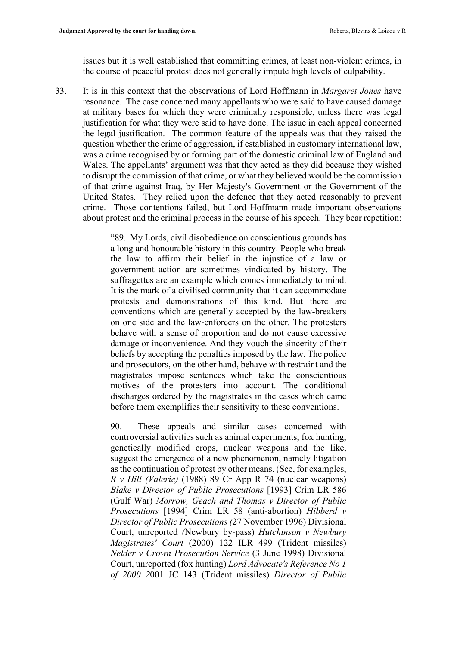issues but it is well established that committing crimes, at least non-violent crimes, in the course of peaceful protest does not generally impute high levels of culpability.

 the legal justification. The common feature of the appeals was that they raised the 33. It is in this context that the observations of Lord Hoffmann in *Margaret Jones* have resonance. The case concerned many appellants who were said to have caused damage at military bases for which they were criminally responsible, unless there was legal justification for what they were said to have done. The issue in each appeal concerned question whether the crime of aggression, if established in customary international law, was a crime recognised by or forming part of the domestic criminal law of England and Wales. The appellants' argument was that they acted as they did because they wished to disrupt the commission of that crime, or what they believed would be the commission of that crime against Iraq, by Her Majesty's Government or the Government of the United States. They relied upon the defence that they acted reasonably to prevent crime. Those contentions failed, but Lord Hoffmann made important observations about protest and the criminal process in the course of his speech. They bear repetition:

> the law to affirm their belief in the injustice of a law or beliefs by accepting the penalties imposed by the law. The police "89. My Lords, civil disobedience on conscientious grounds has a long and honourable history in this country. People who break government action are sometimes vindicated by history. The suffragettes are an example which comes immediately to mind. It is the mark of a civilised community that it can accommodate protests and demonstrations of this kind. But there are conventions which are generally accepted by the law-breakers on one side and the law-enforcers on the other. The protesters behave with a sense of proportion and do not cause excessive damage or inconvenience. And they vouch the sincerity of their and prosecutors, on the other hand, behave with restraint and the magistrates impose sentences which take the conscientious motives of the protesters into account. The conditional discharges ordered by the magistrates in the cases which came before them exemplifies their sensitivity to these conventions.

> 90. These appeals and similar cases concerned with controversial activities such as animal experiments, fox hunting, genetically modified crops, nuclear weapons and the like, suggest the emergence of a new phenomenon, namely litigation as the continuation of protest by other means. (See, for examples, *R v Hill (Valerie)* (1988) 89 Cr App R 74 (nuclear weapons) *Blake v Director of Public Prosecutions* [1993] Crim LR 586 (Gulf War) *Morrow, Geach and Thomas v Director of Public Prosecutions* [1994] Crim LR 58 (anti-abortion) *Hibberd v Director of Public Prosecutions (*27 November 1996) Divisional Court, unreported *(*Newbury by-pass) *Hutchinson v Newbury Magistrates' Court* (2000) 122 ILR 499 (Trident missiles) *Nelder v Crown Prosecution Service* (3 June 1998) Divisional Court, unreported (fox hunting) *Lord Advocate's Reference No 1 of 2000 2*001 JC 143 (Trident missiles) *Director of Public*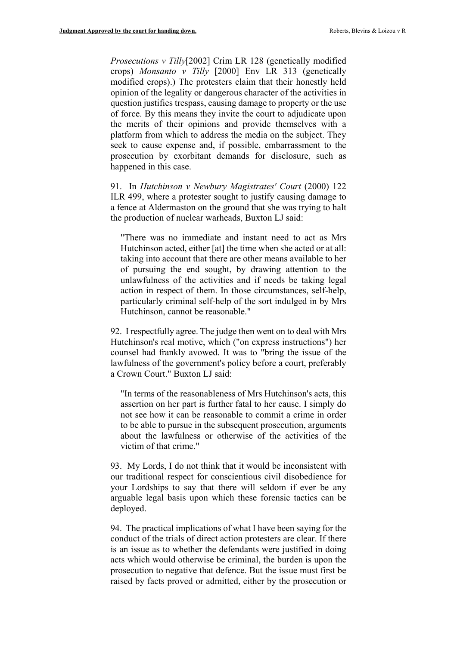platform from which to address the media on the subject. They *Prosecutions v Tilly*[2002] Crim LR 128 (genetically modified crops) *Monsanto v Tilly* [2000] Env LR 313 (genetically modified crops).) The protesters claim that their honestly held opinion of the legality or dangerous character of the activities in question justifies trespass, causing damage to property or the use of force. By this means they invite the court to adjudicate upon the merits of their opinions and provide themselves with a seek to cause expense and, if possible, embarrassment to the prosecution by exorbitant demands for disclosure, such as happened in this case.

91. In *Hutchinson v Newbury Magistrates' Court* (2000) 122 ILR 499, where a protester sought to justify causing damage to a fence at Aldermaston on the ground that she was trying to halt the production of nuclear warheads, Buxton LJ said:

 "There was no immediate and instant need to act as Mrs Hutchinson acted, either [at] the time when she acted or at all: taking into account that there are other means available to her of pursuing the end sought, by drawing attention to the unlawfulness of the activities and if needs be taking legal action in respect of them. In those circumstances, self-help, particularly criminal self-help of the sort indulged in by Mrs Hutchinson, cannot be reasonable."

 92. I respectfully agree. The judge then went on to deal with Mrs Hutchinson's real motive, which ("on express instructions") her counsel had frankly avowed. It was to "bring the issue of the lawfulness of the government's policy before a court, preferably a Crown Court." Buxton LJ said:

"In terms of the reasonableness of Mrs Hutchinson's acts, this assertion on her part is further fatal to her cause. I simply do not see how it can be reasonable to commit a crime in order to be able to pursue in the subsequent prosecution, arguments about the lawfulness or otherwise of the activities of the victim of that crime."

 93. My Lords, I do not think that it would be inconsistent with our traditional respect for conscientious civil disobedience for your Lordships to say that there will seldom if ever be any arguable legal basis upon which these forensic tactics can be deployed.

 94. The practical implications of what I have been saying for the raised by facts proved or admitted, either by the prosecution or conduct of the trials of direct action protesters are clear. If there is an issue as to whether the defendants were justified in doing acts which would otherwise be criminal, the burden is upon the prosecution to negative that defence. But the issue must first be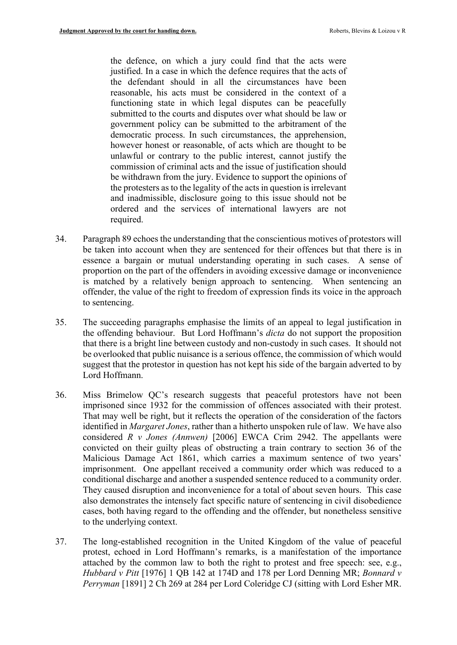reasonable, his acts must be considered in the context of a the defence, on which a jury could find that the acts were justified. In a case in which the defence requires that the acts of the defendant should in all the circumstances have been functioning state in which legal disputes can be peacefully submitted to the courts and disputes over what should be law or government policy can be submitted to the arbitrament of the democratic process. In such circumstances, the apprehension, however honest or reasonable, of acts which are thought to be unlawful or contrary to the public interest, cannot justify the commission of criminal acts and the issue of justification should be withdrawn from the jury. Evidence to support the opinions of the protesters as to the legality of the acts in question is irrelevant and inadmissible, disclosure going to this issue should not be ordered and the services of international lawyers are not required.

- 34. Paragraph 89 echoes the understanding that the conscientious motives of protestors will is matched by a relatively benign approach to sentencing. When sentencing an be taken into account when they are sentenced for their offences but that there is in essence a bargain or mutual understanding operating in such cases. A sense of proportion on the part of the offenders in avoiding excessive damage or inconvenience offender, the value of the right to freedom of expression finds its voice in the approach to sentencing.
- that there is a bright line between custody and non-custody in such cases. It should not suggest that the protestor in question has not kept his side of the bargain adverted to by 35. The succeeding paragraphs emphasise the limits of an appeal to legal justification in the offending behaviour. But Lord Hoffmann's *dicta* do not support the proposition be overlooked that public nuisance is a serious offence, the commission of which would Lord Hoffmann.
- imprisoned since 1932 for the commission of offences associated with their protest. Malicious Damage Act 1861, which carries a maximum sentence of two years' They caused disruption and inconvenience for a total of about seven hours. This case 36. Miss Brimelow QC's research suggests that peaceful protestors have not been That may well be right, but it reflects the operation of the consideration of the factors identified in *Margaret Jones*, rather than a hitherto unspoken rule of law. We have also considered *R v Jones (Annwen)* [2006] EWCA Crim 2942. The appellants were convicted on their guilty pleas of obstructing a train contrary to section 36 of the imprisonment. One appellant received a community order which was reduced to a conditional discharge and another a suspended sentence reduced to a community order. also demonstrates the intensely fact specific nature of sentencing in civil disobedience cases, both having regard to the offending and the offender, but nonetheless sensitive to the underlying context.
- attached by the common law to both the right to protest and free speech: see, e.g., *Hubbard v Pitt* [1976] 1 QB 142 at 174D and 178 per Lord Denning MR; *Bonnard v*  37. The long-established recognition in the United Kingdom of the value of peaceful protest, echoed in Lord Hoffmann's remarks, is a manifestation of the importance *Perryman* [1891] 2 Ch 269 at 284 per Lord Coleridge CJ (sitting with Lord Esher MR.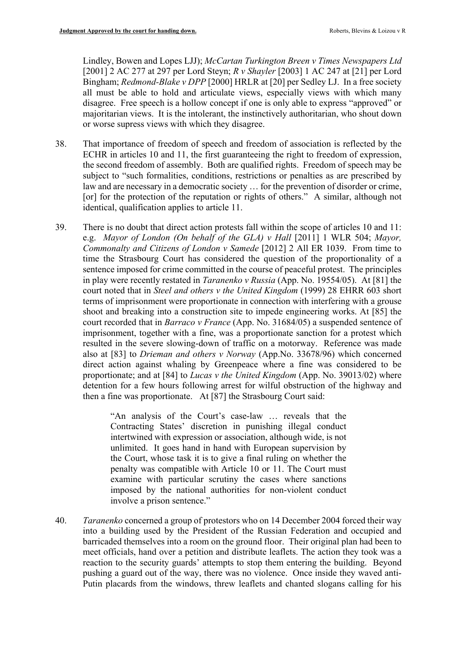majoritarian views. It is the intolerant, the instinctively authoritarian, who shout down Lindley, Bowen and Lopes LJJ); *McCartan Turkington Breen v Times Newspapers Ltd*  [2001] 2 AC 277 at 297 per Lord Steyn; *R v Shayler* [2003] 1 AC 247 at [21] per Lord Bingham; *Redmond-Blake v DPP* [2000] HRLR at [20] per Sedley LJ. In a free society all must be able to hold and articulate views, especially views with which many disagree. Free speech is a hollow concept if one is only able to express "approved" or or worse supress views with which they disagree.

- ECHR in articles 10 and 11, the first guaranteeing the right to freedom of expression, the second freedom of assembly. Both are qualified rights. Freedom of speech may be [or] for the protection of the reputation or rights of others." A similar, although not 38. That importance of freedom of speech and freedom of association is reflected by the subject to "such formalities, conditions, restrictions or penalties as are prescribed by law and are necessary in a democratic society … for the prevention of disorder or crime, identical, qualification applies to article 11.
- *Commonalty and Citizens of London v Samede* [2012] 2 All ER 1039. From time to in play were recently restated in *Taranenko v Russia* (App. No. 19554/05). At [81] the imprisonment, together with a fine, was a proportionate sanction for a protest which resulted in the severe slowing-down of traffic on a motorway. Reference was made 39. There is no doubt that direct action protests fall within the scope of articles 10 and 11: e.g. *Mayor of London (On behalf of the GLA) v Hall* [2011] 1 WLR 504; *Mayor*, time the Strasbourg Court has considered the question of the proportionality of a sentence imposed for crime committed in the course of peaceful protest. The principles court noted that in *Steel and others v the United Kingdom* (1999) 28 EHRR 603 short terms of imprisonment were proportionate in connection with interfering with a grouse shoot and breaking into a construction site to impede engineering works. At [85] the court recorded that in *Barraco v France* (App. No. 31684/05) a suspended sentence of also at [83] to *Drieman and others v Norway* (App.No. 33678/96) which concerned direct action against whaling by Greenpeace where a fine was considered to be proportionate; and at [84] to *Lucas v the United Kingdom* (App. No. 39013/02) where detention for a few hours following arrest for wilful obstruction of the highway and then a fine was proportionate. At [87] the Strasbourg Court said:

 "An analysis of the Court's case-law … reveals that the Contracting States' discretion in punishing illegal conduct intertwined with expression or association, although wide, is not unlimited. It goes hand in hand with European supervision by the Court, whose task it is to give a final ruling on whether the penalty was compatible with Article 10 or 11. The Court must examine with particular scrutiny the cases where sanctions imposed by the national authorities for non-violent conduct involve a prison sentence."

 into a building used by the President of the Russian Federation and occupied and reaction to the security guards' attempts to stop them entering the building. Beyond 40. *Taranenko* concerned a group of protestors who on 14 December 2004 forced their way barricaded themselves into a room on the ground floor. Their original plan had been to meet officials, hand over a petition and distribute leaflets. The action they took was a pushing a guard out of the way, there was no violence. Once inside they waved anti-Putin placards from the windows, threw leaflets and chanted slogans calling for his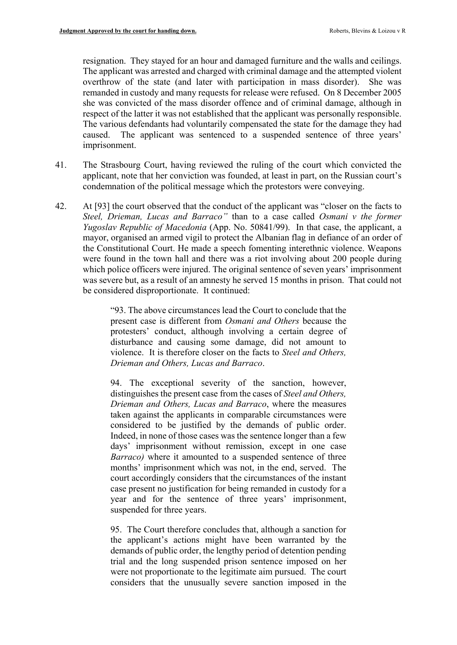overthrow of the state (and later with participation in mass disorder). She was remanded in custody and many requests for release were refused. On 8 December 2005 respect of the latter it was not established that the applicant was personally responsible. resignation. They stayed for an hour and damaged furniture and the walls and ceilings. The applicant was arrested and charged with criminal damage and the attempted violent she was convicted of the mass disorder offence and of criminal damage, although in The various defendants had voluntarily compensated the state for the damage they had caused. The applicant was sentenced to a suspended sentence of three years' imprisonment.

- 41. The Strasbourg Court, having reviewed the ruling of the court which convicted the applicant, note that her conviction was founded, at least in part, on the Russian court's condemnation of the political message which the protestors were conveying.
- the Constitutional Court. He made a speech fomenting interethnic violence. Weapons 42. At [93] the court observed that the conduct of the applicant was "closer on the facts to *Steel, Drieman, Lucas and Barraco"* than to a case called *Osmani v the former Yugoslav Republic of Macedonia* (App. No. 50841/99). In that case, the applicant, a mayor, organised an armed vigil to protect the Albanian flag in defiance of an order of were found in the town hall and there was a riot involving about 200 people during which police officers were injured. The original sentence of seven years' imprisonment was severe but, as a result of an amnesty he served 15 months in prison. That could not be considered disproportionate. It continued:

"93. The above circumstances lead the Court to conclude that the present case is different from *Osmani and Others* because the protesters' conduct, although involving a certain degree of disturbance and causing some damage, did not amount to violence. It is therefore closer on the facts to *Steel and Others, Drieman and Others, Lucas and Barraco*.

 months' imprisonment which was not, in the end, served. The 94. The exceptional severity of the sanction, however, distinguishes the present case from the cases of *Steel and Others, Drieman and Others, Lucas and Barraco*, where the measures taken against the applicants in comparable circumstances were considered to be justified by the demands of public order. Indeed, in none of those cases was the sentence longer than a few days' imprisonment without remission, except in one case *Barraco*) where it amounted to a suspended sentence of three court accordingly considers that the circumstances of the instant case present no justification for being remanded in custody for a year and for the sentence of three years' imprisonment, suspended for three years.

95. The Court therefore concludes that, although a sanction for the applicant's actions might have been warranted by the demands of public order, the lengthy period of detention pending trial and the long suspended prison sentence imposed on her were not proportionate to the legitimate aim pursued. The court considers that the unusually severe sanction imposed in the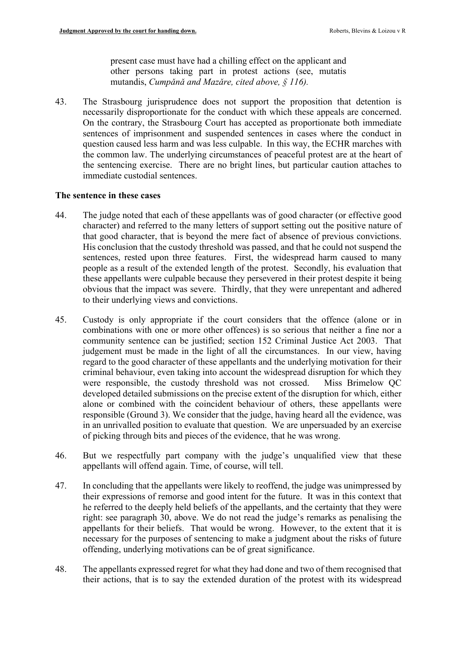present case must have had a chilling effect on the applicant and other persons taking part in protest actions (see, mutatis mutandis, *Cumpǎnǎ and Mazǎre, cited above, § 116).* 

43. The Strasbourg jurisprudence does not support the proposition that detention is necessarily disproportionate for the conduct with which these appeals are concerned. On the contrary, the Strasbourg Court has accepted as proportionate both immediate sentences of imprisonment and suspended sentences in cases where the conduct in question caused less harm and was less culpable. In this way, the ECHR marches with the common law. The underlying circumstances of peaceful protest are at the heart of the sentencing exercise. There are no bright lines, but particular caution attaches to immediate custodial sentences.

## **The sentence in these cases**

- 44. The judge noted that each of these appellants was of good character (or effective good character) and referred to the many letters of support setting out the positive nature of that good character, that is beyond the mere fact of absence of previous convictions. His conclusion that the custody threshold was passed, and that he could not suspend the sentences, rested upon three features. First, the widespread harm caused to many people as a result of the extended length of the protest. Secondly, his evaluation that these appellants were culpable because they persevered in their protest despite it being obvious that the impact was severe. Thirdly, that they were unrepentant and adhered to their underlying views and convictions.
- community sentence can be justified; section 152 Criminal Justice Act 2003. That 45. Custody is only appropriate if the court considers that the offence (alone or in combinations with one or more other offences) is so serious that neither a fine nor a judgement must be made in the light of all the circumstances. In our view, having regard to the good character of these appellants and the underlying motivation for their criminal behaviour, even taking into account the widespread disruption for which they were responsible, the custody threshold was not crossed. Miss Brimelow QC developed detailed submissions on the precise extent of the disruption for which, either alone or combined with the coincident behaviour of others, these appellants were responsible (Ground 3). We consider that the judge, having heard all the evidence, was in an unrivalled position to evaluate that question. We are unpersuaded by an exercise of picking through bits and pieces of the evidence, that he was wrong.
- 46. But we respectfully part company with the judge's unqualified view that these appellants will offend again. Time, of course, will tell.
- offending, underlying motivations can be of great significance. 47. In concluding that the appellants were likely to reoffend, the judge was unimpressed by their expressions of remorse and good intent for the future. It was in this context that he referred to the deeply held beliefs of the appellants, and the certainty that they were right: see paragraph 30, above. We do not read the judge's remarks as penalising the appellants for their beliefs. That would be wrong. However, to the extent that it is necessary for the purposes of sentencing to make a judgment about the risks of future
- their actions, that is to say the extended duration of the protest with its widespread 48. The appellants expressed regret for what they had done and two of them recognised that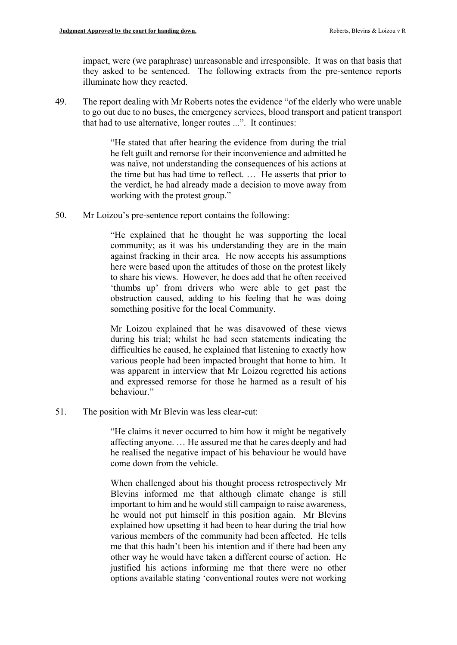impact, were (we paraphrase) unreasonable and irresponsible. It was on that basis that they asked to be sentenced. The following extracts from the pre-sentence reports illuminate how they reacted.

49. The report dealing with Mr Roberts notes the evidence "of the elderly who were unable to go out due to no buses, the emergency services, blood transport and patient transport that had to use alternative, longer routes ...". It continues:

> "He stated that after hearing the evidence from during the trial he felt guilt and remorse for their inconvenience and admitted he was naïve, not understanding the consequences of his actions at the time but has had time to reflect. … He asserts that prior to the verdict, he had already made a decision to move away from working with the protest group."

50. Mr Loizou's pre-sentence report contains the following:

 against fracking in their area. He now accepts his assumptions "He explained that he thought he was supporting the local community; as it was his understanding they are in the main here were based upon the attitudes of those on the protest likely to share his views. However, he does add that he often received 'thumbs up' from drivers who were able to get past the obstruction caused, adding to his feeling that he was doing something positive for the local Community.

 difficulties he caused, he explained that listening to exactly how various people had been impacted brought that home to him. It was apparent in interview that Mr Loizou regretted his actions Mr Loizou explained that he was disavowed of these views during his trial; whilst he had seen statements indicating the and expressed remorse for those he harmed as a result of his behaviour."

51. The position with Mr Blevin was less clear-cut:

"He claims it never occurred to him how it might be negatively affecting anyone. … He assured me that he cares deeply and had he realised the negative impact of his behaviour he would have come down from the vehicle.

 me that this hadn't been his intention and if there had been any When challenged about his thought process retrospectively Mr Blevins informed me that although climate change is still important to him and he would still campaign to raise awareness, he would not put himself in this position again. Mr Blevins explained how upsetting it had been to hear during the trial how various members of the community had been affected. He tells other way he would have taken a different course of action. He justified his actions informing me that there were no other options available stating 'conventional routes were not working